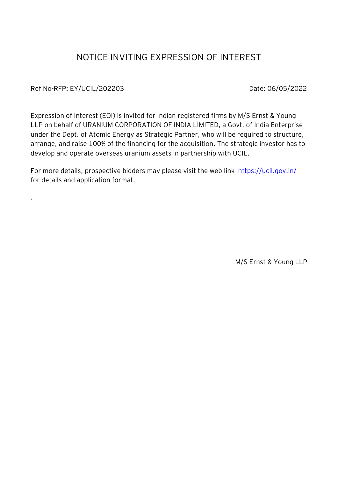## NOTICE INVITING EXPRESSION OF INTEREST

Ref No-RFP: EY/UCIL/202203 Date: 06/05/2022

.

Expression of Interest (EOI) is invited for Indian registered firms by M/S Ernst & Young LLP on behalf of URANIUM CORPORATION OF INDIA LIMITED, a Govt, of India Enterprise under the Dept. of Atomic Energy as Strategic Partner, who will be required to structure, arrange, and raise 100% of the financing for the acquisition. The strategic investor has to develop and operate overseas uranium assets in partnership with UCIL.

For more details, prospective bidders may please visit the web link https://ucil.gov.in/ for details and application format.

M/S Ernst & Young LLP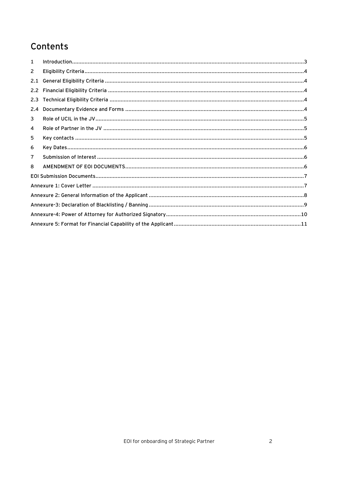# Contents

| 1              |  |  |  |
|----------------|--|--|--|
| $\overline{2}$ |  |  |  |
| 2.1            |  |  |  |
| $2.2^{\circ}$  |  |  |  |
| 2.3            |  |  |  |
| 2.4            |  |  |  |
| 3              |  |  |  |
| 4              |  |  |  |
| 5              |  |  |  |
| 6              |  |  |  |
| 7              |  |  |  |
| 8              |  |  |  |
|                |  |  |  |
|                |  |  |  |
|                |  |  |  |
|                |  |  |  |
|                |  |  |  |
|                |  |  |  |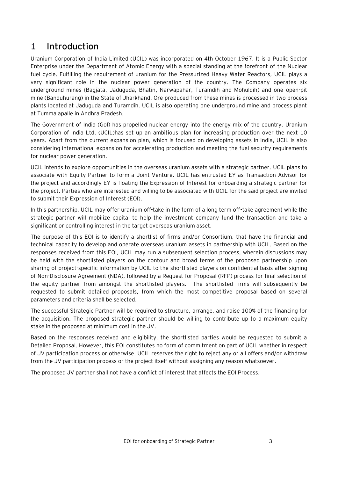### <span id="page-2-0"></span>1 **Introduction**

Uranium Corporation of India Limited (UCIL) was incorporated on 4th October 1967. It is a Public Sector Enterprise under the Department of Atomic Energy with a special standing at the forefront of the Nuclear fuel cycle. Fulfilling the requirement of uranium for the Pressurized Heavy Water Reactors, UCIL plays a very significant role in the nuclear power generation of the country. The Company operates six underground mines (Bagjata, Jaduguda, Bhatin, Narwapahar, Turamdih and Mohuldih) and one open-pit mine (Banduhurang) in the State of Jharkhand. Ore produced from these mines is processed in two process plants located at Jaduguda and Turamdih. UCIL is also operating one underground mine and process plant at Tummalapalle in Andhra Pradesh.

The Government of India (GoI) has propelled nuclear energy into the energy mix of the country. Uranium Corporation of India Ltd. (UCIL)has set up an ambitious plan for increasing production over the next 10 years. Apart from the current expansion plan, which is focused on developing assets in India, UCIL is also considering international expansion for accelerating production and meeting the fuel security requirements for nuclear power generation.

UCIL intends to explore opportunities in the overseas uranium assets with a strategic partner. UCIL plans to associate with Equity Partner to form a Joint Venture. UCIL has entrusted EY as Transaction Advisor for the project and accordingly EY is floating the Expression of Interest for onboarding a strategic partner for the project. Parties who are interested and willing to be associated with UCIL for the said project are invited to submit their Expression of Interest (EOI).

In this partnership, UCIL may offer uranium off-take in the form of a long term off-take agreement while the strategic partner will mobilize capital to help the investment company fund the transaction and take a significant or controlling interest in the target overseas uranium asset.

The purpose of this EOI is to identify a shortlist of firms and/or Consortium, that have the financial and technical capacity to develop and operate overseas uranium assets in partnership with UCIL. Based on the responses received from this EOI, UCIL may run a subsequent selection process, wherein discussions may be held with the shortlisted players on the contour and broad terms of the proposed partnership upon sharing of project-specific information by UCIL to the shortlisted players on confidential basis after signing of Non-Disclosure Agreement (NDA), followed by a Request for Proposal (RFP) process for final selection of the equity partner from amongst the shortlisted players. The shortlisted firms will subsequently be requested to submit detailed proposals, from which the most competitive proposal based on several parameters and criteria shall be selected.

The successful Strategic Partner will be required to structure, arrange, and raise 100% of the financing for the acquisition. The proposed strategic partner should be willing to contribute up to a maximum equity stake in the proposed at minimum cost in the JV.

Based on the responses received and eligibility, the shortlisted parties would be requested to submit a Detailed Proposal. However, this EOI constitutes no form of commitment on part of UCIL whether in respect of JV participation process or otherwise. UCIL reserves the right to reject any or all offers and/or withdraw from the JV participation process or the project itself without assigning any reason whatsoever.

The proposed JV partner shall not have a conflict of interest that affects the EOI Process.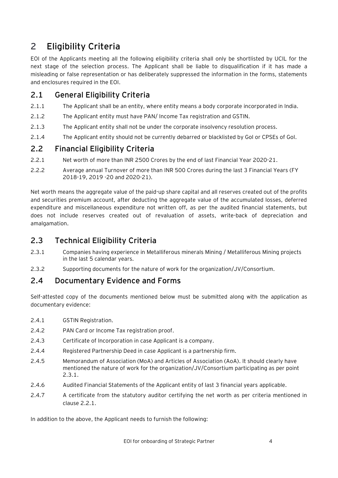# <span id="page-3-0"></span>2 **Eligibility Criteria**

EOI of the Applicants meeting all the following eligibility criteria shall only be shortlisted by UCIL for the next stage of the selection process. The Applicant shall be liable to disqualification if it has made a misleading or false representation or has deliberately suppressed the information in the forms, statements and enclosures required in the EOI.

#### <span id="page-3-1"></span>**2.1 General Eligibility Criteria**

- 2.1.1 The Applicant shall be an entity, where entity means a body corporate incorporated in India.
- 2.1.2 The Applicant entity must have PAN/ Income Tax registration and GSTIN.
- 2.1.3 The Applicant entity shall not be under the corporate insolvency resolution process.
- 2.1.4 The Applicant entity should not be currently debarred or blacklisted by GoI or CPSEs of GoI.

#### <span id="page-3-2"></span>**2.2 Financial Eligibility Criteria**

- 2.2.1 Net worth of more than INR 2500 Crores by the end of last Financial Year 2020-21.
- 2.2.2 Average annual Turnover of more than INR 500 Crores during the last 3 Financial Years (FY 2018-19, 2019 -20 and 2020-21).

Net worth means the aggregate value of the paid-up share capital and all reserves created out of the profits and securities premium account, after deducting the aggregate value of the accumulated losses, deferred expenditure and miscellaneous expenditure not written off, as per the audited financial statements, but does not include reserves created out of revaluation of assets, write-back of depreciation and amalgamation.

#### <span id="page-3-3"></span>**2.3 Technical Eligibility Criteria**

- 2.3.1 Companies having experience in Metalliferous minerals Mining / Metalliferous Mining projects in the last 5 calendar years.
- 2.3.2 Supporting documents for the nature of work for the organization/JV/Consortium.

#### <span id="page-3-4"></span>**2.4 Documentary Evidence and Forms**

Self-attested copy of the documents mentioned below must be submitted along with the application as documentary evidence:

- 2.4.1 GSTIN Registration.
- 2.4.2 PAN Card or Income Tax registration proof.
- 2.4.3 Certificate of Incorporation in case Applicant is a company.
- 2.4.4 Registered Partnership Deed in case Applicant is a partnership firm.
- 2.4.5 Memorandum of Association (MoA) and Articles of Association (AoA). It should clearly have mentioned the nature of work for the organization/JV/Consortium participating as per point 2.3.1.
- 2.4.6 Audited Financial Statements of the Applicant entity of last 3 financial years applicable.
- 2.4.7 A certificate from the statutory auditor certifying the net worth as per criteria mentioned in clause 2.2.1.

In addition to the above, the Applicant needs to furnish the following: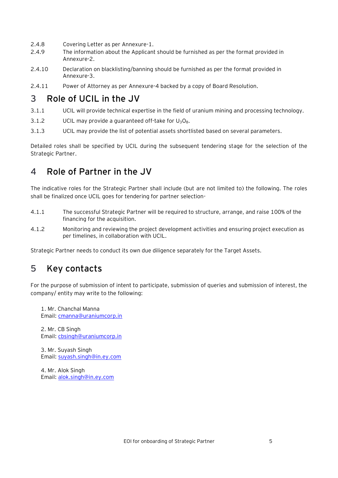- 2.4.8 Covering Letter as per Annexure-1.
- 2.4.9 The information about the Applicant should be furnished as per the format provided in Annexure-2.
- 2.4.10 Declaration on blacklisting/banning should be furnished as per the format provided in Annexure-3.
- 2.4.11 Power of Attorney as per Annexure-4 backed by a copy of Board Resolution.

#### <span id="page-4-0"></span>3 **Role of UCIL in the JV**

- 3.1.1 UCIL will provide technical expertise in the field of uranium mining and processing technology.
- 3.1.2 UCIL may provide a guaranteed off-take for  $U_3O_8$ .
- 3.1.3 UCIL may provide the list of potential assets shortlisted based on several parameters.

Detailed roles shall be specified by UCIL during the subsequent tendering stage for the selection of the Strategic Partner.

#### <span id="page-4-1"></span>4 **Role of Partner in the JV**

The indicative roles for the Strategic Partner shall include (but are not limited to) the following. The roles shall be finalized once UCIL goes for tendering for partner selection-

- 4.1.1 The successful Strategic Partner will be required to structure, arrange, and raise 100% of the financing for the acquisition.
- 4.1.2 Monitoring and reviewing the project development activities and ensuring project execution as per timelines, in collaboration with UCIL.

Strategic Partner needs to conduct its own due diligence separately for the Target Assets.

### <span id="page-4-2"></span>5 **Key contacts**

For the purpose of submission of intent to participate, submission of queries and submission of interest, the company/ entity may write to the following:

1. Mr. Chanchal Manna Email: [cmanna@uraniumcorp.in](mailto:cmanna@uraniumcorp.in)

2. Mr. CB Singh Email: [cbsingh@uraniumcorp.in](mailto:cbsingh@uraniumcorp.in)

3. Mr. Suyash Singh Email: [suyash.singh@in.ey.com](mailto:suyash.singh@in.ey.com)

<span id="page-4-3"></span>4. Mr. Alok Singh Email: [alok.singh@in.ey.com](mailto:alok.singh@in.ey.com)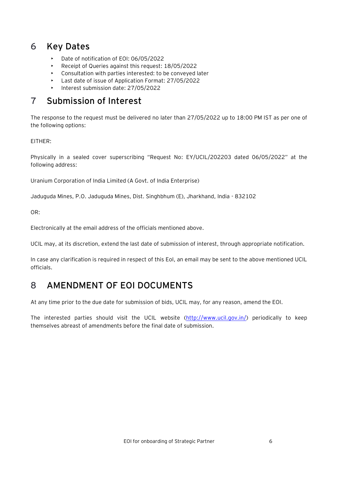## 6 **Key Dates**

- Date of notification of EOI: 06/05/2022
- Receipt of Queries against this request: 18/05/2022
- Consultation with parties interested: to be conveyed later
- Last date of issue of Application Format: 27/05/2022
- Interest submission date: 27/05/2022

## <span id="page-5-0"></span>7 **Submission of Interest**

The response to the request must be delivered no later than 27/05/2022 up to 18:00 PM IST as per one of the following options:

EITHER:

Physically in a sealed cover superscribing "Request No: EY/UCIL/202203 dated 06/05/2022" at the following address:

Uranium Corporation of India Limited (A Govt. of India Enterprise)

Jaduguda Mines, P.O. Jaduguda Mines, Dist. Singhbhum (E), Jharkhand, India - 832102

OR:

Electronically at the email address of the officials mentioned above.

UCIL may, at its discretion, extend the last date of submission of interest, through appropriate notification.

In case any clarification is required in respect of this EoI, an email may be sent to the above mentioned UCIL officials.

### <span id="page-5-1"></span>8 **AMENDMENT OF EOI DOCUMENTS**

At any time prior to the due date for submission of bids, UCIL may, for any reason, amend the EOI.

The interested parties should visit the UCIL website [\(http://www.ucil.gov.in/\)](http://www.ucil.gov.in/) periodically to keep themselves abreast of amendments before the final date of submission.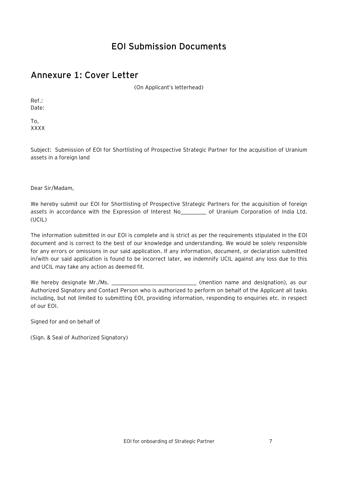## **EOI Submission Documents**

#### <span id="page-6-1"></span><span id="page-6-0"></span>**Annexure 1: Cover Letter**

(On Applicant's letterhead)

Ref.: Date:

To, XXXX

Subject: Submission of EOI for Shortlisting of Prospective Strategic Partner for the acquisition of Uranium assets in a foreign land

Dear Sir/Madam,

We hereby submit our EOI for Shortlisting of Prospective Strategic Partners for the acquisition of foreign assets in accordance with the Expression of Interest No\_\_\_\_\_\_\_\_\_ of Uranium Corporation of India Ltd. (UCIL)

The information submitted in our EOI is complete and is strict as per the requirements stipulated in the EOI document and is correct to the best of our knowledge and understanding. We would be solely responsible for any errors or omissions in our said application. If any information, document, or declaration submitted in/with our said application is found to be incorrect later, we indemnify UCIL against any loss due to this and UCIL may take any action as deemed fit.

We hereby designate Mr./Ms. \_\_\_\_\_\_\_\_\_\_\_\_\_\_\_\_\_\_\_\_\_\_\_\_\_\_\_\_\_\_\_\_\_\_\_(mention name and designation), as our Authorized Signatory and Contact Person who is authorized to perform on behalf of the Applicant all tasks including, but not limited to submitting EOI, providing information, responding to enquiries etc. in respect of our EOI.

Signed for and on behalf of

(Sign. & Seal of Authorized Signatory)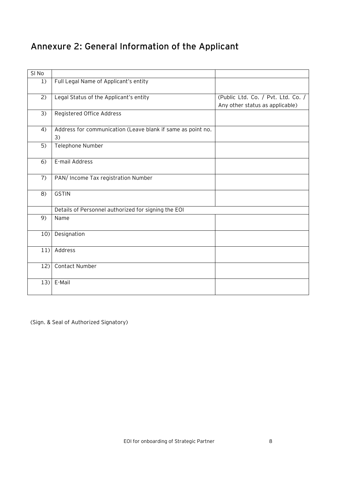# <span id="page-7-0"></span>**Annexure 2: General Information of the Applicant**

| SI No |                                                             |                                    |
|-------|-------------------------------------------------------------|------------------------------------|
| 1)    | Full Legal Name of Applicant's entity                       |                                    |
|       |                                                             |                                    |
| 2)    | Legal Status of the Applicant's entity                      | (Public Ltd. Co. / Pvt. Ltd. Co. / |
|       |                                                             | Any other status as applicable)    |
| 3)    | Registered Office Address                                   |                                    |
|       |                                                             |                                    |
| 4)    | Address for communication (Leave blank if same as point no. |                                    |
|       | 3)                                                          |                                    |
| 5)    | Telephone Number                                            |                                    |
|       |                                                             |                                    |
| 6)    | E-mail Address                                              |                                    |
|       |                                                             |                                    |
| 7)    | PAN/ Income Tax registration Number                         |                                    |
|       |                                                             |                                    |
| 8)    | <b>GSTIN</b>                                                |                                    |
|       |                                                             |                                    |
|       | Details of Personnel authorized for signing the EOI         |                                    |
| 9)    | Name                                                        |                                    |
|       |                                                             |                                    |
| 10)   | Designation                                                 |                                    |
|       |                                                             |                                    |
| 11)   | Address                                                     |                                    |
|       |                                                             |                                    |
| 12)   | Contact Number                                              |                                    |
|       |                                                             |                                    |
|       | $13$ E-Mail                                                 |                                    |
|       |                                                             |                                    |

(Sign. & Seal of Authorized Signatory)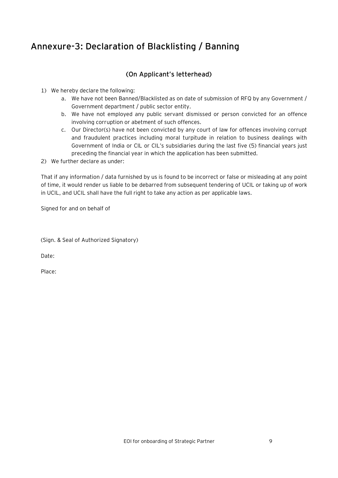## <span id="page-8-0"></span>**Annexure-3: Declaration of Blacklisting / Banning**

#### **(On Applicant's letterhead)**

- 1) We hereby declare the following:
	- a. We have not been Banned/Blacklisted as on date of submission of RFQ by any Government / Government department / public sector entity.
	- b. We have not employed any public servant dismissed or person convicted for an offence involving corruption or abetment of such offences.
	- c. Our Director(s) have not been convicted by any court of law for offences involving corrupt and fraudulent practices including moral turpitude in relation to business dealings with Government of India or CIL or CIL's subsidiaries during the last five (5) financial years just preceding the financial year in which the application has been submitted.
- 2) We further declare as under:

That if any information / data furnished by us is found to be incorrect or false or misleading at any point of time, it would render us liable to be debarred from subsequent tendering of UCIL or taking up of work in UCIL, and UCIL shall have the full right to take any action as per applicable laws.

Signed for and on behalf of

(Sign. & Seal of Authorized Signatory)

Date:

Place: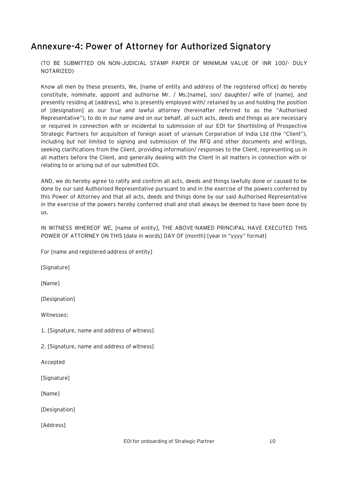### <span id="page-9-0"></span>**Annexure-4: Power of Attorney for Authorized Signatory**

(TO BE SUBMITTED ON NON-JUDICIAL STAMP PAPER OF MINIMUM VALUE OF INR 100/- DULY NOTARIZED)

Know all men by these presents, We, [name of entity and address of the registered office] do hereby constitute, nominate, appoint and authorise Mr. / Ms.[name], son/ daughter/ wife of [name], and presently residing at [address], who is presently employed with/ retained by us and holding the position of [designation] as our true and lawful attorney (hereinafter referred to as the "Authorised Representative"), to do in our name and on our behalf, all such acts, deeds and things as are necessary or required in connection with or incidental to submission of our EOI for Shortlisting of Prospective Strategic Partners for acquisition of foreign asset of uranium Corporation of India Ltd (the "Client"), including but not limited to signing and submission of the RFQ and other documents and writings, seeking clarifications from the Client, providing information/ responses to the Client, representing us in all matters before the Client, and generally dealing with the Client in all matters in connection with or relating to or arising out of our submitted EOI.

AND, we do hereby agree to ratify and confirm all acts, deeds and things lawfully done or caused to be done by our said Authorised Representative pursuant to and in the exercise of the powers conferred by this Power of Attorney and that all acts, deeds and things done by our said Authorised Representative in the exercise of the powers hereby conferred shall and shall always be deemed to have been done by us.

IN WITNESS WHEREOF WE, [name of entity], THE ABOVE-NAMED PRINCIPAL HAVE EXECUTED THIS POWER OF ATTORNEY ON THIS [date in words] DAY OF [month] [year in "yyyy" format]

For [name and registered address of entity]

[Signature]

[Name]

[Designation]

Witnesses:

1. [Signature, name and address of witness]

2. [Signature, name and address of witness]

Accepted

[Signature]

[Name]

[Designation]

[Address]